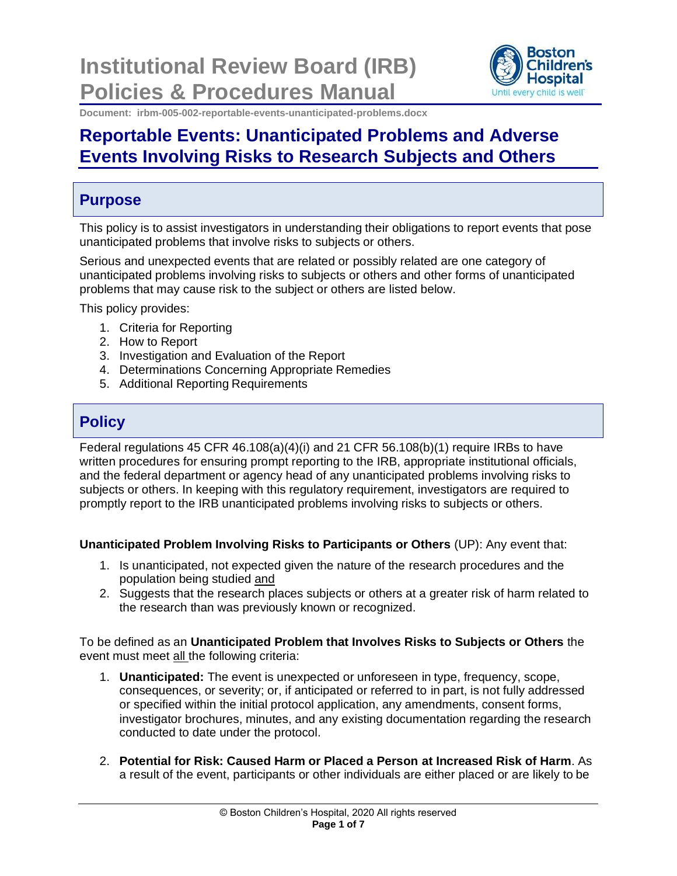**Institutional Review Board (IRB) Policies & Procedures Manual**



**Document: irbm-005-002-reportable-events-unanticipated-problems.docx**

# **Reportable Events: Unanticipated Problems and Adverse Events Involving Risks to Research Subjects and Others**

# **Purpose**

This policy is to assist investigators in understanding their obligations to report events that pose unanticipated problems that involve risks to subjects or others.

Serious and unexpected events that are related or possibly related are one category of unanticipated problems involving risks to subjects or others and other forms of unanticipated problems that may cause risk to the subject or others are listed below.

This policy provides:

- 1. Criteria for Reporting
- 2. How to Report
- 3. Investigation and Evaluation of the Report
- 4. Determinations Concerning Appropriate Remedies
- 5. Additional Reporting Requirements

# **Policy**

Federal regulations 45 CFR 46.108(a)(4)(i) and 21 CFR 56.108(b)(1) require IRBs to have written procedures for ensuring prompt reporting to the IRB, appropriate institutional officials, and the federal department or agency head of any unanticipated problems involving risks to subjects or others. In keeping with this regulatory requirement, investigators are required to promptly report to the IRB unanticipated problems involving risks to subjects or others.

**Unanticipated Problem Involving Risks to Participants or Others** (UP): Any event that:

- 1. Is unanticipated, not expected given the nature of the research procedures and the population being studied and
- 2. Suggests that the research places subjects or others at a greater risk of harm related to the research than was previously known or recognized.

To be defined as an **Unanticipated Problem that Involves Risks to Subjects or Others** the event must meet all the following criteria:

- 1. **Unanticipated:** The event is unexpected or unforeseen in type, frequency, scope, consequences, or severity; or, if anticipated or referred to in part, is not fully addressed or specified within the initial protocol application, any amendments, consent forms, investigator brochures, minutes, and any existing documentation regarding the research conducted to date under the protocol.
- 2. **Potential for Risk: Caused Harm or Placed a Person at Increased Risk of Harm**. As a result of the event, participants or other individuals are either placed or are likely to be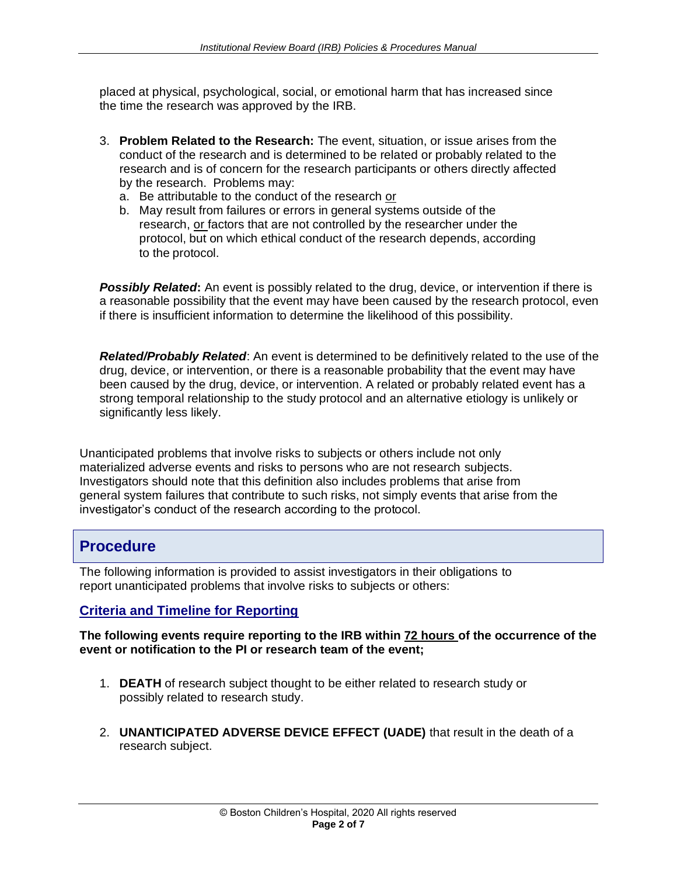placed at physical, psychological, social, or emotional harm that has increased since the time the research was approved by the IRB.

- 3. **Problem Related to the Research:** The event, situation, or issue arises from the conduct of the research and is determined to be related or probably related to the research and is of concern for the research participants or others directly affected by the research. Problems may:
	- a. Be attributable to the conduct of the research or
	- b. May result from failures or errors in general systems outside of the research, or factors that are not controlled by the researcher under the protocol, but on which ethical conduct of the research depends, according to the protocol.

**Possibly Related:** An event is possibly related to the drug, device, or intervention if there is a reasonable possibility that the event may have been caused by the research protocol, even if there is insufficient information to determine the likelihood of this possibility.

*Related/Probably Related*: An event is determined to be definitively related to the use of the drug, device, or intervention, or there is a reasonable probability that the event may have been caused by the drug, device, or intervention. A related or probably related event has a strong temporal relationship to the study protocol and an alternative etiology is unlikely or significantly less likely.

Unanticipated problems that involve risks to subjects or others include not only materialized adverse events and risks to persons who are not research subjects. Investigators should note that this definition also includes problems that arise from general system failures that contribute to such risks, not simply events that arise from the investigator's conduct of the research according to the protocol.

# **Procedure**

The following information is provided to assist investigators in their obligations to report unanticipated problems that involve risks to subjects or others:

### **Criteria and Timeline for Reporting**

#### **The following events require reporting to the IRB within 72 hours of the occurrence of the event or notification to the PI or research team of the event;**

- 1. **DEATH** of research subject thought to be either related to research study or possibly related to research study.
- 2. **UNANTICIPATED ADVERSE DEVICE EFFECT (UADE)** that result in the death of a research subject.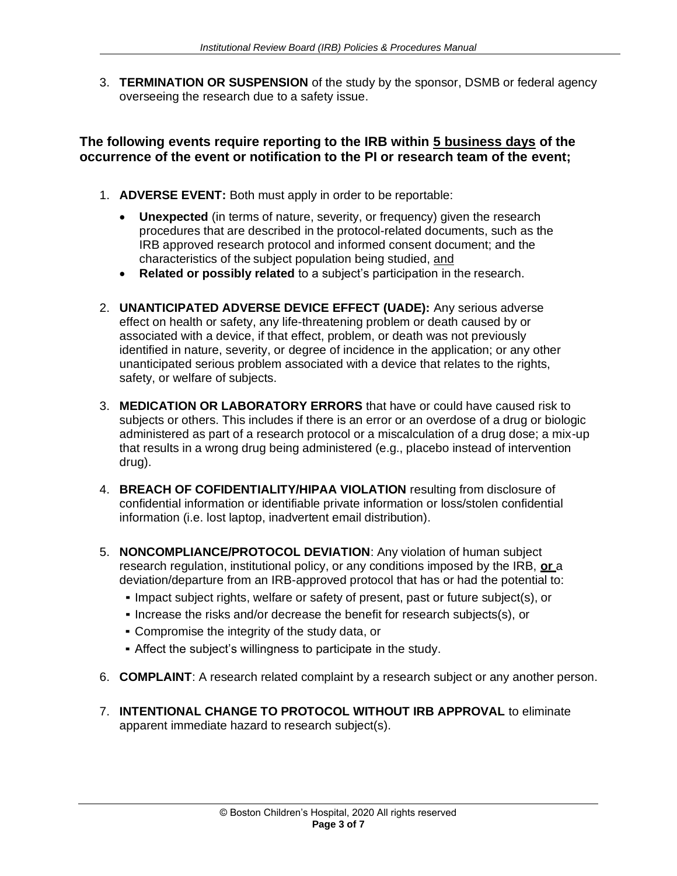3. **TERMINATION OR SUSPENSION** of the study by the sponsor, DSMB or federal agency overseeing the research due to a safety issue.

## **The following events require reporting to the IRB within 5 business days of the occurrence of the event or notification to the PI or research team of the event;**

- 1. **ADVERSE EVENT:** Both must apply in order to be reportable:
	- **Unexpected** (in terms of nature, severity, or frequency) given the research procedures that are described in the protocol-related documents, such as the IRB approved research protocol and informed consent document; and the characteristics of the subject population being studied, and
	- **Related or possibly related** to a subject's participation in the research.
- 2. **UNANTICIPATED ADVERSE DEVICE EFFECT (UADE):** Any serious adverse effect on health or safety, any life-threatening problem or death caused by or associated with a device, if that effect, problem, or death was not previously identified in nature, severity, or degree of incidence in the application; or any other unanticipated serious problem associated with a device that relates to the rights, safety, or welfare of subjects.
- 3. **MEDICATION OR LABORATORY ERRORS** that have or could have caused risk to subjects or others. This includes if there is an error or an overdose of a drug or biologic administered as part of a research protocol or a miscalculation of a drug dose; a mix-up that results in a wrong drug being administered (e.g., placebo instead of intervention drug).
- 4. **BREACH OF COFIDENTIALITY/HIPAA VIOLATION** resulting from disclosure of confidential information or identifiable private information or loss/stolen confidential information (i.e. lost laptop, inadvertent email distribution).
- 5. **NONCOMPLIANCE/PROTOCOL DEVIATION**: Any violation of human subject research regulation, institutional policy, or any conditions imposed by the IRB, **or** a deviation/departure from an IRB-approved protocol that has or had the potential to:
	- Impact subject rights, welfare or safety of present, past or future subject(s), or
	- Increase the risks and/or decrease the benefit for research subjects(s), or
	- **Compromise the integrity of the study data, or**
	- **EXECT Affect the subject's willingness to participate in the study.**
- 6. **COMPLAINT**: A research related complaint by a research subject or any another person.
- 7. **INTENTIONAL CHANGE TO PROTOCOL WITHOUT IRB APPROVAL** to eliminate apparent immediate hazard to research subject(s).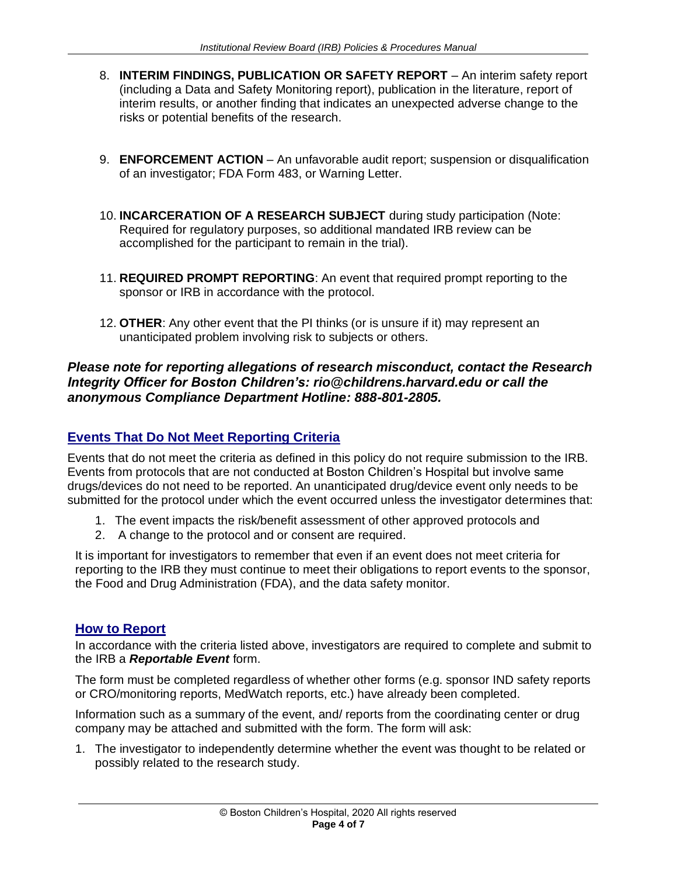- 8. **INTERIM FINDINGS, PUBLICATION OR SAFETY REPORT** An interim safety report (including a Data and Safety Monitoring report), publication in the literature, report of interim results, or another finding that indicates an unexpected adverse change to the risks or potential benefits of the research.
- 9. **ENFORCEMENT ACTION**  An unfavorable audit report; suspension or disqualification of an investigator; FDA Form 483, or Warning Letter.
- 10. **INCARCERATION OF A RESEARCH SUBJECT** during study participation (Note: Required for regulatory purposes, so additional mandated IRB review can be accomplished for the participant to remain in the trial).
- 11. **REQUIRED PROMPT REPORTING**: An event that required prompt reporting to the sponsor or IRB in accordance with the protocol.
- 12. **OTHER**: Any other event that the PI thinks (or is unsure if it) may represent an unanticipated problem involving risk to subjects or others.

### *Please note for reporting allegations of research misconduct, contact the Research Integrity Officer for Boston Children's: rio@childrens.harvard.edu or call the anonymous Compliance Department Hotline: 888-801-2805.*

## **Events That Do Not Meet Reporting Criteria**

Events that do not meet the criteria as defined in this policy do not require submission to the IRB. Events from protocols that are not conducted at Boston Children's Hospital but involve same drugs/devices do not need to be reported. An unanticipated drug/device event only needs to be submitted for the protocol under which the event occurred unless the investigator determines that:

- 1. The event impacts the risk/benefit assessment of other approved protocols and
- 2. A change to the protocol and or consent are required.

It is important for investigators to remember that even if an event does not meet criteria for reporting to the IRB they must continue to meet their obligations to report events to the sponsor, the Food and Drug Administration (FDA), and the data safety monitor.

### **How to Report**

In accordance with the criteria listed above, investigators are required to complete and submit to the IRB a *Reportable Event* form.

The form must be completed regardless of whether other forms (e.g. sponsor IND safety reports or CRO/monitoring reports, MedWatch reports, etc.) have already been completed.

Information such as a summary of the event, and/ reports from the coordinating center or drug company may be attached and submitted with the form. The form will ask:

1. The investigator to independently determine whether the event was thought to be related or possibly related to the research study.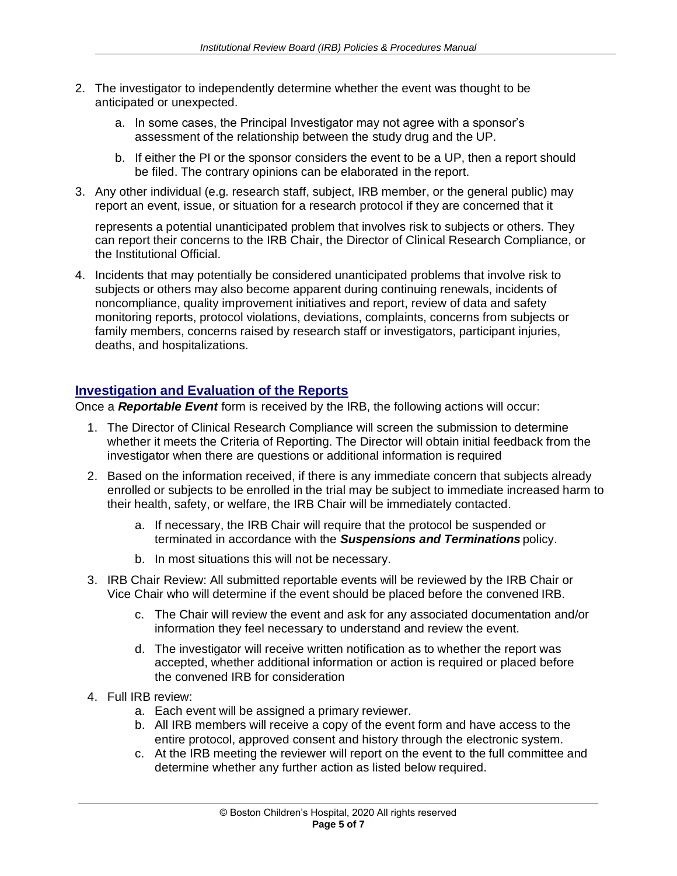- 2. The investigator to independently determine whether the event was thought to be anticipated or unexpected.
	- a. In some cases, the Principal Investigator may not agree with a sponsor's assessment of the relationship between the study drug and the UP.
	- b. If either the PI or the sponsor considers the event to be a UP, then a report should be filed. The contrary opinions can be elaborated in the report.
- 3. Any other individual (e.g. research staff, subject, IRB member, or the general public) may report an event, issue, or situation for a research protocol if they are concerned that it

represents a potential unanticipated problem that involves risk to subjects or others. They can report their concerns to the IRB Chair, the Director of Clinical Research Compliance, or the Institutional Official.

4. Incidents that may potentially be considered unanticipated problems that involve risk to subjects or others may also become apparent during continuing renewals, incidents of noncompliance, quality improvement initiatives and report, review of data and safety monitoring reports, protocol violations, deviations, complaints, concerns from subjects or family members, concerns raised by research staff or investigators, participant injuries, deaths, and hospitalizations.

### **Investigation and Evaluation of the Reports**

Once a *Reportable Event* form is received by the IRB, the following actions will occur:

- 1. The Director of Clinical Research Compliance will screen the submission to determine whether it meets the Criteria of Reporting. The Director will obtain initial feedback from the investigator when there are questions or additional information is required
- 2. Based on the information received, if there is any immediate concern that subjects already enrolled or subjects to be enrolled in the trial may be subject to immediate increased harm to their health, safety, or welfare, the IRB Chair will be immediately contacted.
	- a. If necessary, the IRB Chair will require that the protocol be suspended or terminated in accordance with the *Suspensions and Terminations* policy.
	- b. In most situations this will not be necessary.
- 3. IRB Chair Review: All submitted reportable events will be reviewed by the IRB Chair or Vice Chair who will determine if the event should be placed before the convened IRB.
	- c. The Chair will review the event and ask for any associated documentation and/or information they feel necessary to understand and review the event.
	- d. The investigator will receive written notification as to whether the report was accepted, whether additional information or action is required or placed before the convened IRB for consideration
- 4. Full IRB review:
	- a. Each event will be assigned a primary reviewer.
	- b. All IRB members will receive a copy of the event form and have access to the entire protocol, approved consent and history through the electronic system.
	- c. At the IRB meeting the reviewer will report on the event to the full committee and determine whether any further action as listed below required.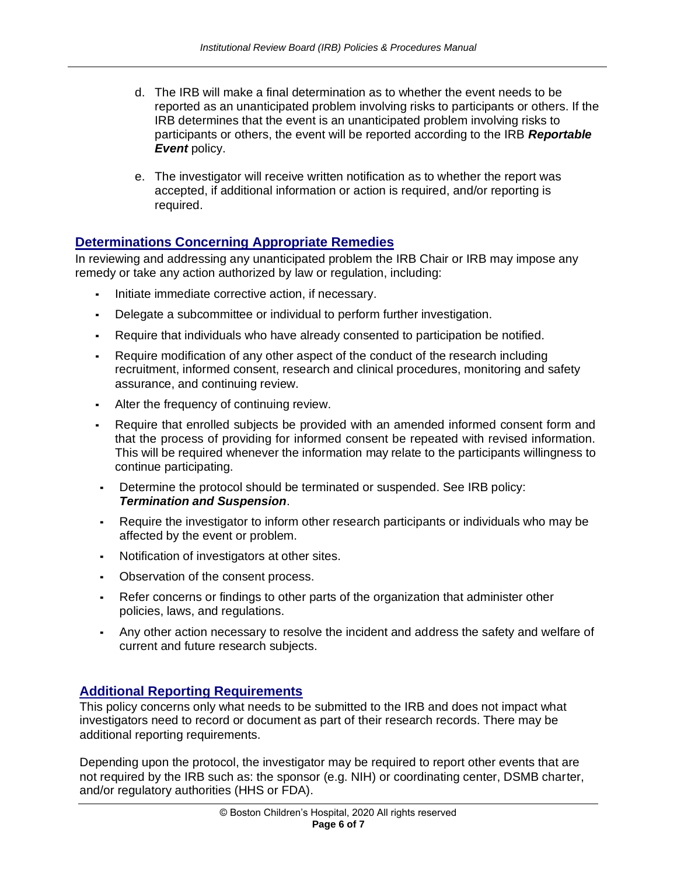- d. The IRB will make a final determination as to whether the event needs to be reported as an unanticipated problem involving risks to participants or others. If the IRB determines that the event is an unanticipated problem involving risks to participants or others, the event will be reported according to the IRB *Reportable Event* policy.
- e. The investigator will receive written notification as to whether the report was accepted, if additional information or action is required, and/or reporting is required.

#### **Determinations Concerning Appropriate Remedies**

In reviewing and addressing any unanticipated problem the IRB Chair or IRB may impose any remedy or take any action authorized by law or regulation, including:

- Initiate immediate corrective action, if necessary.
- Delegate a subcommittee or individual to perform further investigation.
- Require that individuals who have already consented to participation be notified.
- Require modification of any other aspect of the conduct of the research including recruitment, informed consent, research and clinical procedures, monitoring and safety assurance, and continuing review.
- Alter the frequency of continuing review.
- Require that enrolled subjects be provided with an amended informed consent form and that the process of providing for informed consent be repeated with revised information. This will be required whenever the information may relate to the participants willingness to continue participating.
- Determine the protocol should be terminated or suspended. See IRB policy: *Termination and Suspension*.
- Require the investigator to inform other research participants or individuals who may be affected by the event or problem.
- Notification of investigators at other sites.
- Observation of the consent process.
- Refer concerns or findings to other parts of the organization that administer other policies, laws, and regulations.
- Any other action necessary to resolve the incident and address the safety and welfare of current and future research subjects.

#### **Additional Reporting Requirements**

This policy concerns only what needs to be submitted to the IRB and does not impact what investigators need to record or document as part of their research records. There may be additional reporting requirements.

Depending upon the protocol, the investigator may be required to report other events that are not required by the IRB such as: the sponsor (e.g. NIH) or coordinating center, DSMB charter, and/or regulatory authorities (HHS or FDA).